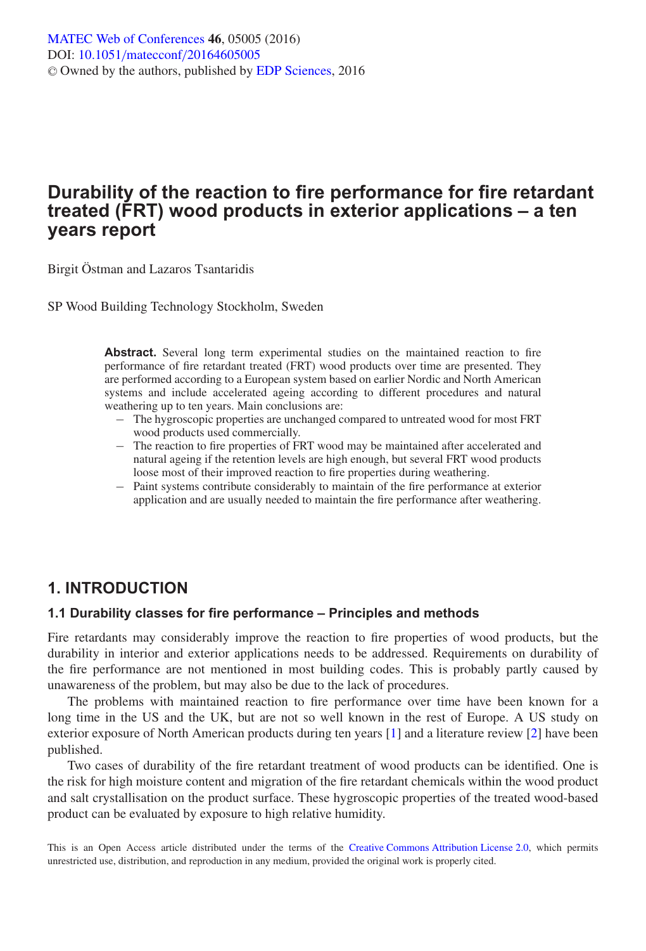# **Durability of the reaction to fire performance for fire retardant treated (FRT) wood products in exterior applications – a ten years report**

Birgit Östman and Lazaros Tsantaridis

SP Wood Building Technology Stockholm, Sweden

**Abstract.** Several long term experimental studies on the maintained reaction to fire performance of fire retardant treated (FRT) wood products over time are presented. They are performed according to a European system based on earlier Nordic and North American systems and include accelerated ageing according to different procedures and natural weathering up to ten years. Main conclusions are:

- − The hygroscopic properties are unchanged compared to untreated wood for most FRT wood products used commercially.
- − The reaction to fire properties of FRT wood may be maintained after accelerated and natural ageing if the retention levels are high enough, but several FRT wood products loose most of their improved reaction to fire properties during weathering.
- − Paint systems contribute considerably to maintain of the fire performance at exterior application and are usually needed to maintain the fire performance after weathering.

## **1. INTRODUCTION**

#### **1.1 Durability classes for fire performance – Principles and methods**

Fire retardants may considerably improve the reaction to fire properties of wood products, but the durability in interior and exterior applications needs to be addressed. Requirements on durability of the fire performance are not mentioned in most building codes. This is probably partly caused by unawareness of the problem, but may also be due to the lack of procedures.

The problems with maintained reaction to fire performance over time have been known for a long time in the US and the UK, but are not so well known in the rest of Europe. A US study on exterior exposure of North American products during ten years [\[1](#page-8-0)] and a literature review [\[2](#page-8-1)] have been published.

Two cases of durability of the fire retardant treatment of wood products can be identified. One is the risk for high moisture content and migration of the fire retardant chemicals within the wood product and salt crystallisation on the product surface. These hygroscopic properties of the treated wood-based product can be evaluated by exposure to high relative humidity.

This is an Open Access article distributed under the terms of the [Creative Commons Attribution License 2.0,](http://creativecommons.org/licenses/by/2.0/) which permits unrestricted use, distribution, and reproduction in any medium, provided the original work is properly cited.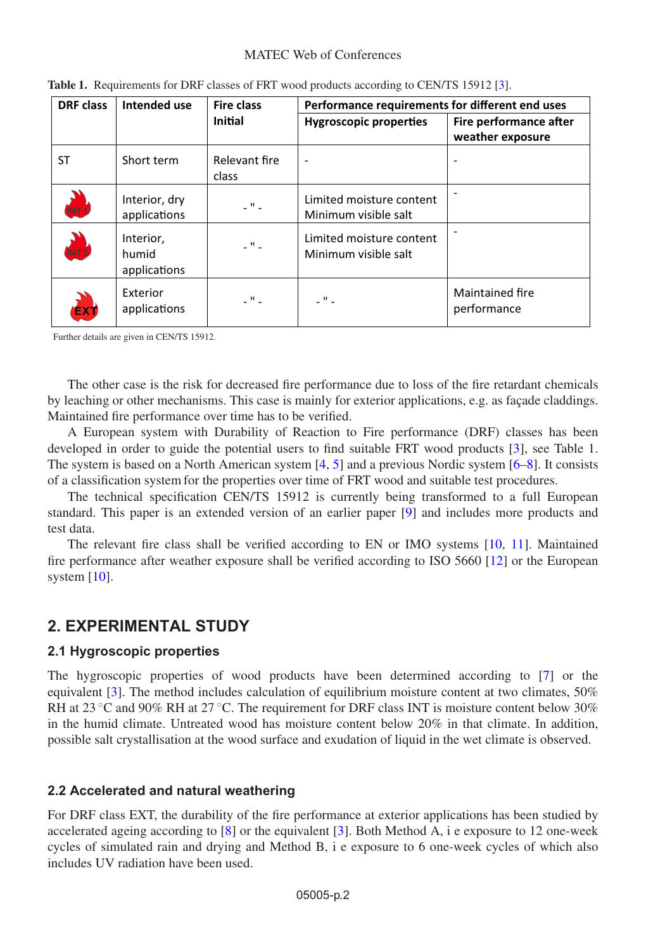#### MATEC Web of Conferences

| <b>DRF</b> class      | Intended use                       | <b>Fire class</b>      | Performance requirements for different end uses  |                                            |  |
|-----------------------|------------------------------------|------------------------|--------------------------------------------------|--------------------------------------------|--|
|                       |                                    | <b>Initial</b>         | <b>Hygroscopic properties</b>                    | Fire performance after<br>weather exposure |  |
| ST                    | Short term                         | Relevant fire<br>class |                                                  |                                            |  |
| <b>ALL</b>            | Interior, dry<br>applications      | $ ^{\prime\prime}$ $-$ | Limited moisture content<br>Minimum visible salt |                                            |  |
| $\sum_{\text{NT } 2}$ | Interior,<br>humid<br>applications | $\omega$ !! $\omega$ . | Limited moisture content<br>Minimum visible salt |                                            |  |
| EX'                   | Exterior<br>applications           | . " .                  | $\overline{\phantom{a}}$                         | Maintained fire<br>performance             |  |

| Table 1. Requirements for DRF classes of FRT wood products according to CEN/TS 15912 [3]. |  |  |  |  |
|-------------------------------------------------------------------------------------------|--|--|--|--|
|                                                                                           |  |  |  |  |

Further details are given in CEN/TS 15912.

The other case is the risk for decreased fire performance due to loss of the fire retardant chemicals by leaching or other mechanisms. This case is mainly for exterior applications, e.g. as façade claddings. Maintained fire performance over time has to be verified.

A European system with Durability of Reaction to Fire performance (DRF) classes has been developed in order to guide the potential users to find suitable FRT wood products [\[3](#page-8-2)], see Table 1. The system is based on a North American system [\[4](#page-8-3), [5](#page-8-4)] and a previous Nordic system [\[6](#page-8-5)[–8](#page-9-0)]. It consists of a classification system for the properties over time of FRT wood and suitable test procedures.

The technical specification CEN/TS 15912 is currently being transformed to a full European standard. This paper is an extended version of an earlier paper [\[9\]](#page-9-1) and includes more products and test data.

The relevant fire class shall be verified according to EN or IMO systems [\[10,](#page-9-2) [11](#page-9-3)]. Maintained fire performance after weather exposure shall be verified according to ISO 5660 [\[12\]](#page-9-4) or the European system [\[10\]](#page-9-2).

## **2. EXPERIMENTAL STUDY**

### **2.1 Hygroscopic properties**

The hygroscopic properties of wood products have been determined according to [\[7](#page-9-5)] or the equivalent [\[3\]](#page-8-2). The method includes calculation of equilibrium moisture content at two climates, 50% RH at 23  $\degree$ C and 90% RH at 27  $\degree$ C. The requirement for DRF class INT is moisture content below 30% in the humid climate. Untreated wood has moisture content below  $20\%$  in that climate. In addition, possible salt crystallisation at the wood surface and exudation of liquid in the wet climate is observed.

### **2.2 Accelerated and natural weathering**

For DRF class EXT, the durability of the fire performance at exterior applications has been studied by accelerated ageing according to [\[8\]](#page-9-0) or the equivalent [\[3\]](#page-8-2). Both Method A, i e exposure to 12 one-week cycles of simulated rain and drying and Method B, i e exposure to 6 one-week cycles of which also includes UV radiation have been used.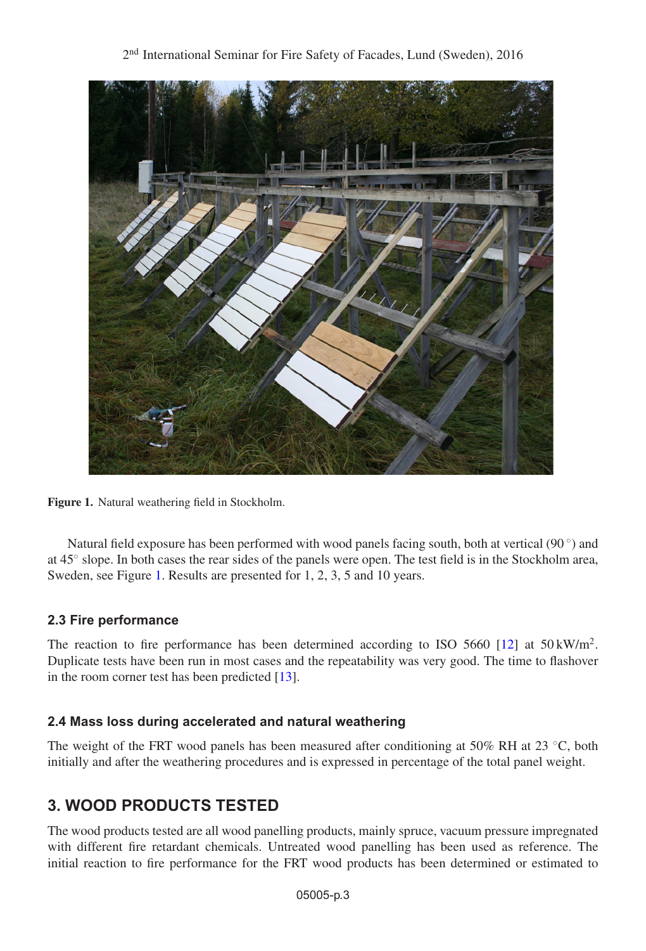<span id="page-2-0"></span>

**Figure 1.** Natural weathering field in Stockholm.

Natural field exposure has been performed with wood panels facing south, both at vertical (90 $\degree$ ) and at 45◦ slope. In both cases the rear sides of the panels were open. The test field is in the Stockholm area, Sweden, see Figure [1.](#page-2-0) Results are presented for 1, 2, 3, 5 and 10 years.

### **2.3 Fire performance**

The reaction to fire performance has been determined according to ISO 5660 [\[12\]](#page-9-4) at  $50 \,\mathrm{kW/m^2}$ . Duplicate tests have been run in most cases and the repeatability was very good. The time to flashover in the room corner test has been predicted [\[13](#page-9-6)].

### **2.4 Mass loss during accelerated and natural weathering**

The weight of the FRT wood panels has been measured after conditioning at 50% RH at 23 °C, both initially and after the weathering procedures and is expressed in percentage of the total panel weight.

# **3. WOOD PRODUCTS TESTED**

The wood products tested are all wood panelling products, mainly spruce, vacuum pressure impregnated with different fire retardant chemicals. Untreated wood panelling has been used as reference. The initial reaction to fire performance for the FRT wood products has been determined or estimated to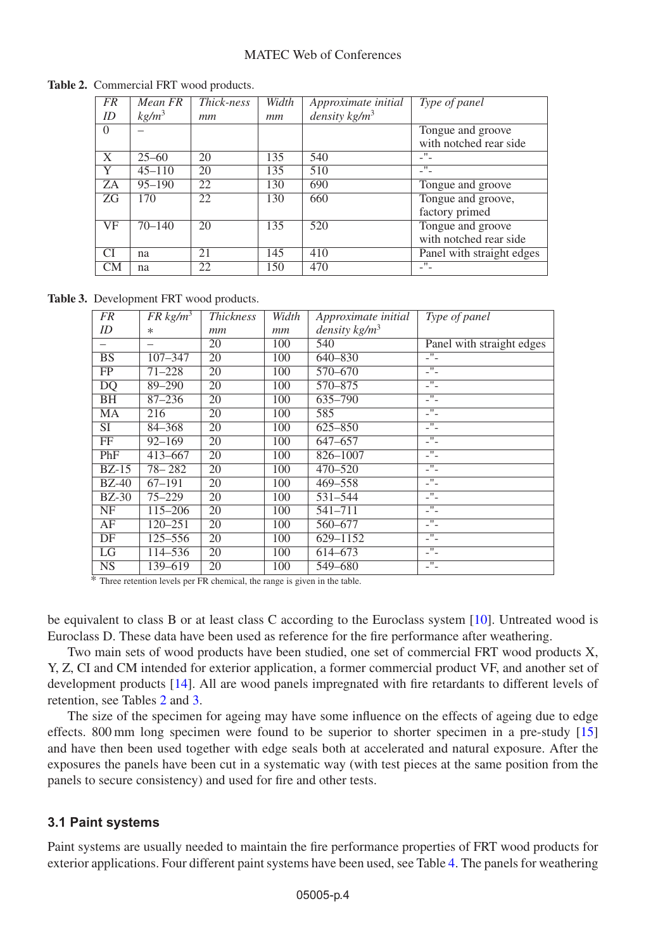| <b>FR</b> | Mean FR           | Thick-ness | Width | Approximate initial | Type of panel             |
|-----------|-------------------|------------|-------|---------------------|---------------------------|
| ID        | kg/m <sup>3</sup> | mт         | mm    | density $kg/m3$     |                           |
| $\Omega$  |                   |            |       |                     | Tongue and groove         |
|           |                   |            |       |                     | with notched rear side    |
| X         | $25 - 60$         | 20         | 135   | 540                 | $\mathbf{H}$<br>- -       |
| Y         | $45 - 110$        | 20         | 135   | 510                 | п.                        |
| ZA        | $95 - 190$        | 22         | 130   | 690                 | Tongue and groove         |
| <b>ZG</b> | 170               | 22         | 130   | 660                 | Tongue and groove,        |
|           |                   |            |       |                     | factory primed            |
| VF        | $70 - 140$        | 20         | 135   | 520                 | Tongue and groove         |
|           |                   |            |       |                     | with notched rear side    |
| CI        | na                | 21         | 145   | 410                 | Panel with straight edges |
| CМ        | na                | 22         | 150   | 470                 |                           |

<span id="page-3-0"></span>**Table 2.** Commercial FRT wood products.

<span id="page-3-1"></span>**Table 3.** Development FRT wood products.

| FR                     | $FR\ kg/m^3$ | <b>Thickness</b> | Width | Approximate initial | Type of panel             |
|------------------------|--------------|------------------|-------|---------------------|---------------------------|
| ID                     | $\ast$       | mm               | mm    | density $kg/m3$     |                           |
|                        | –            | 20               | 100   | 540                 | Panel with straight edges |
| BS                     | $107 - 347$  | 20               | 100   | 640-830             | -"-                       |
| FP                     | $71 - 228$   | 20               | 100   | 570-670             | -"-                       |
| DQ                     | 89-290       | 20               | 100   | 570-875             | -"-                       |
| ΒH                     | $87 - 236$   | 20               | 100   | 635-790             | -"-                       |
| МA                     | 216          | 20               | 100   | 585                 | -"-                       |
| SI                     | 84-368       | 20               | 100   | $625 - 850$         | $^{\prime\prime}$<br>- -  |
| FF                     | $92 - 169$   | 20               | 100   | 647-657             | Ŧ<br>- -                  |
| PhF                    | 413-667      | 20               | 100   | 826-1007            | π                         |
| $BZ-15$                | $78 - 282$   | 20               | 100   | 470-520             | -"-                       |
| $BZ-40$                | $67 - 191$   | 20               | 100   | 469-558             | -"-                       |
| $BZ-30$                | $75 - 229$   | 20               | 100   | 531-544             | -"-                       |
| NF                     | 115-206      | 20               | 100   | 541-711             | -"-                       |
| AF                     | $120 - 251$  | 20               | 100   | 560-677             | $\blacksquare$<br>- -     |
| DF                     | 125-556      | 20               | 100   | 629-1152            | $\mathbf{H}$<br>- -       |
| LG                     | 114-536      | 20               | 100   | 614-673             | π<br>- -                  |
| $\overline{\text{NS}}$ | 139-619      | 20               | 100   | 549-680             | π<br>- -                  |

\* Three retention levels per FR chemical, the range is given in the table.

be equivalent to class B or at least class C according to the Euroclass system [\[10\]](#page-9-2). Untreated wood is Euroclass D. These data have been used as reference for the fire performance after weathering.

Two main sets of wood products have been studied, one set of commercial FRT wood products X, Y, Z, CI and CM intended for exterior application, a former commercial product VF, and another set of development products [\[14](#page-9-7)]. All are wood panels impregnated with fire retardants to different levels of retention, see Tables [2](#page-3-0) and [3.](#page-3-1)

The size of the specimen for ageing may have some influence on the effects of ageing due to edge effects. 800 mm long specimen were found to be superior to shorter specimen in a pre-study [\[15](#page-9-8)] and have then been used together with edge seals both at accelerated and natural exposure. After the exposures the panels have been cut in a systematic way (with test pieces at the same position from the panels to secure consistency) and used for fire and other tests.

#### **3.1 Paint systems**

Paint systems are usually needed to maintain the fire performance properties of FRT wood products for exterior applications. Four different paint systems have been used, see Table [4.](#page-4-0) The panels for weathering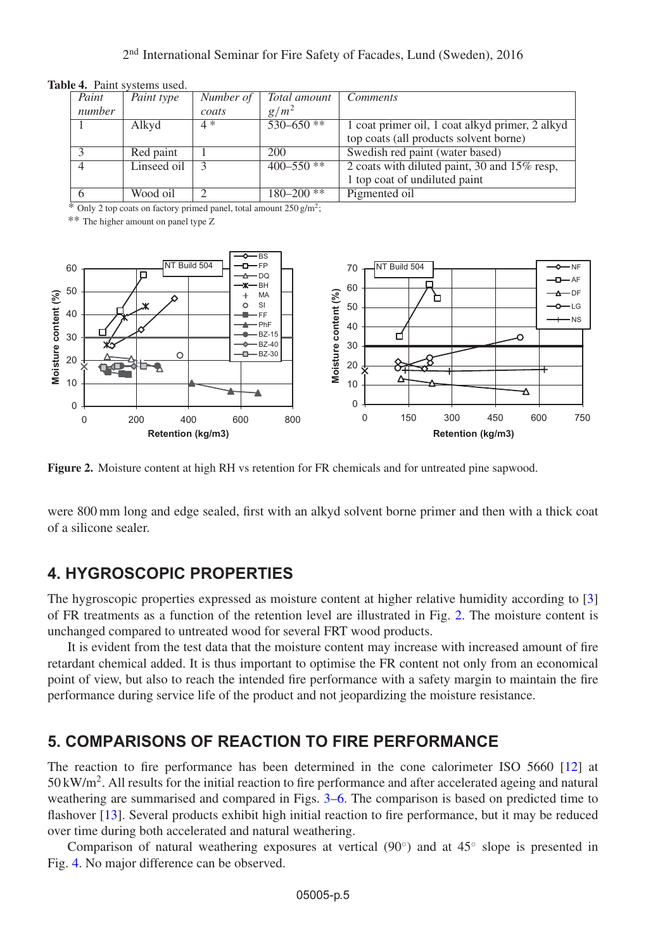#### 2nd International Seminar for Fire Safety of Facades, Lund (Sweden), 2016

| Paint  | Paint type  | Number of | Total amount   | <i>Comments</i>                                 |
|--------|-------------|-----------|----------------|-------------------------------------------------|
|        |             |           |                |                                                 |
| number |             | coats     | $g/m^2$        |                                                 |
|        | Alkyd       | $4*$      | $530 - 650$ ** | 1 coat primer oil, 1 coat alkyd primer, 2 alkyd |
|        |             |           |                | top coats (all products solvent borne)          |
|        | Red paint   |           | 200            | Swedish red paint (water based)                 |
| 4      | Linseed oil |           | $400 - 550$ ** | 2 coats with diluted paint, 30 and 15% resp,    |
|        |             |           |                | 1 top coat of undiluted paint                   |
|        | Wood oil    |           | $180 - 200$ ** | Pigmented oil                                   |

<span id="page-4-0"></span>**Table 4.** Paint systems used.

 $\overline{\text{N}}$  Only 2 top coats on factory primed panel, total amount 250 g/m<sup>2</sup>;

\*\* The higher amount on panel type Z

<span id="page-4-1"></span>

**Figure 2.** Moisture content at high RH vs retention for FR chemicals and for untreated pine sapwood.

were 800 mm long and edge sealed, first with an alkyd solvent borne primer and then with a thick coat of a silicone sealer.

## **4. HYGROSCOPIC PROPERTIES**

The hygroscopic properties expressed as moisture content at higher relative humidity according to [\[3](#page-8-2)] of FR treatments as a function of the retention level are illustrated in Fig. [2.](#page-4-1) The moisture content is unchanged compared to untreated wood for several FRT wood products.

It is evident from the test data that the moisture content may increase with increased amount of fire retardant chemical added. It is thus important to optimise the FR content not only from an economical point of view, but also to reach the intended fire performance with a safety margin to maintain the fire performance during service life of the product and not jeopardizing the moisture resistance.

## **5. COMPARISONS OF REACTION TO FIRE PERFORMANCE**

The reaction to fire performance has been determined in the cone calorimeter ISO 5660 [\[12](#page-9-4)] at  $50 \text{ kW/m}^2$ . All results for the initial reaction to fire performance and after accelerated ageing and natural weathering are summarised and compared in Figs. [3–](#page-5-0)[6.](#page-7-0) The comparison is based on predicted time to flashover [\[13\]](#page-9-6). Several products exhibit high initial reaction to fire performance, but it may be reduced over time during both accelerated and natural weathering.

Comparison of natural weathering exposures at vertical (90◦) and at 45◦ slope is presented in Fig. [4.](#page-6-0) No major difference can be observed.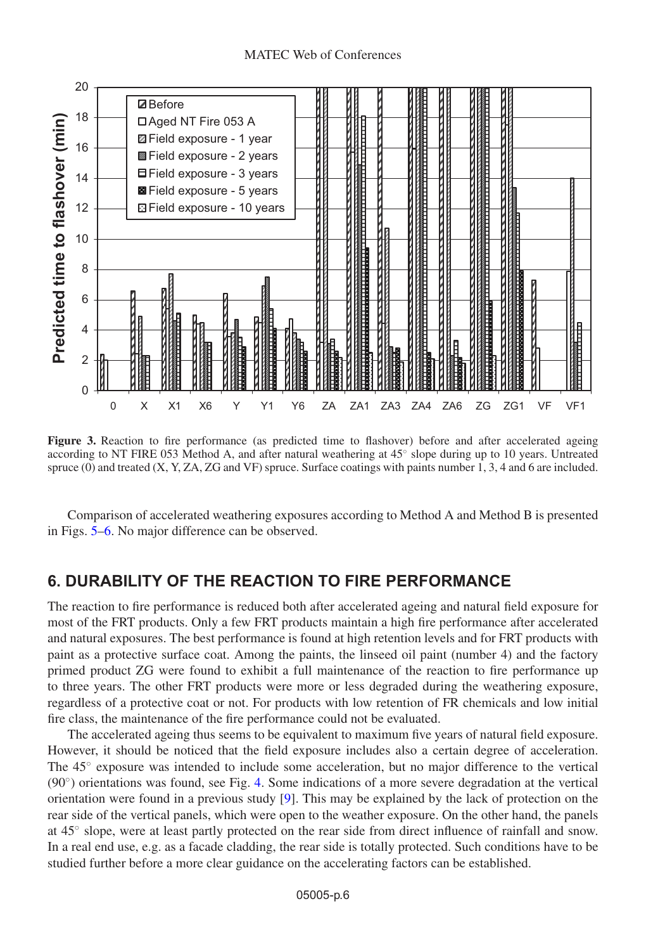<span id="page-5-0"></span>

**Figure 3.** Reaction to fire performance (as predicted time to flashover) before and after accelerated ageing according to NT FIRE 053 Method A, and after natural weathering at 45◦ slope during up to 10 years. Untreated spruce (0) and treated (X, Y, ZA, ZG and VF) spruce. Surface coatings with paints number 1, 3, 4 and 6 are included.

Comparison of accelerated weathering exposures according to Method A and Method B is presented in Figs. [5–](#page-6-1)[6.](#page-7-0) No major difference can be observed.

### **6. DURABILITY OF THE REACTION TO FIRE PERFORMANCE**

The reaction to fire performance is reduced both after accelerated ageing and natural field exposure for most of the FRT products. Only a few FRT products maintain a high fire performance after accelerated and natural exposures. The best performance is found at high retention levels and for FRT products with paint as a protective surface coat. Among the paints, the linseed oil paint (number 4) and the factory primed product ZG were found to exhibit a full maintenance of the reaction to fire performance up to three years. The other FRT products were more or less degraded during the weathering exposure, regardless of a protective coat or not. For products with low retention of FR chemicals and low initial fire class, the maintenance of the fire performance could not be evaluated.

The accelerated ageing thus seems to be equivalent to maximum five years of natural field exposure. However, it should be noticed that the field exposure includes also a certain degree of acceleration. The 45◦ exposure was intended to include some acceleration, but no major difference to the vertical (90◦) orientations was found, see Fig. [4.](#page-6-0) Some indications of a more severe degradation at the vertical orientation were found in a previous study [\[9](#page-9-1)]. This may be explained by the lack of protection on the rear side of the vertical panels, which were open to the weather exposure. On the other hand, the panels at 45◦ slope, were at least partly protected on the rear side from direct influence of rainfall and snow. In a real end use, e.g. as a facade cladding, the rear side is totally protected. Such conditions have to be studied further before a more clear guidance on the accelerating factors can be established.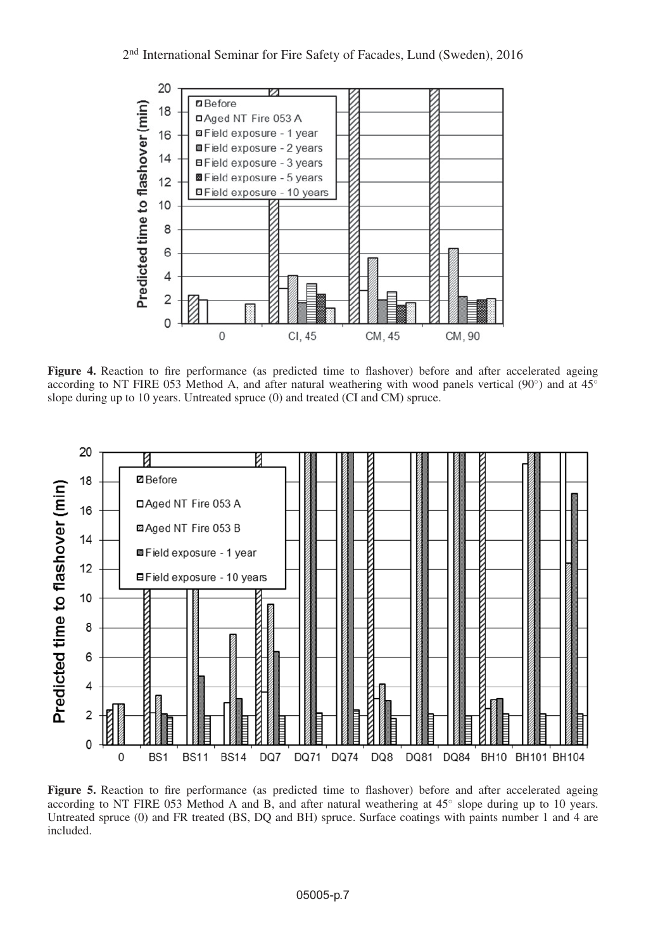<span id="page-6-0"></span>

**Figure 4.** Reaction to fire performance (as predicted time to flashover) before and after accelerated ageing according to NT FIRE 053 Method A, and after natural weathering with wood panels vertical (90<sup>°</sup>) and at 45<sup>°</sup> slope during up to 10 years. Untreated spruce (0) and treated (CI and CM) spruce.

<span id="page-6-1"></span>

**Figure 5.** Reaction to fire performance (as predicted time to flashover) before and after accelerated ageing according to NT FIRE 053 Method A and B, and after natural weathering at 45◦ slope during up to 10 years. Untreated spruce (0) and FR treated (BS, DQ and BH) spruce. Surface coatings with paints number 1 and 4 are included.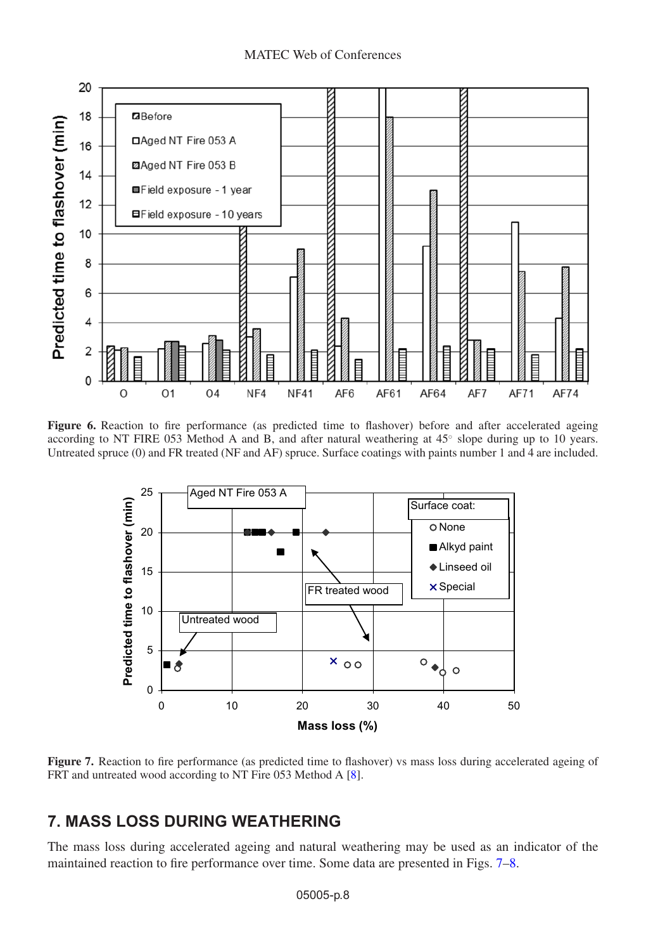<span id="page-7-0"></span>

<span id="page-7-1"></span>Figure 6. Reaction to fire performance (as predicted time to flashover) before and after accelerated ageing according to NT FIRE 053 Method A and B, and after natural weathering at 45◦ slope during up to 10 years. Untreated spruce (0) and FR treated (NF and AF) spruce. Surface coatings with paints number 1 and 4 are included.



**Figure 7.** Reaction to fire performance (as predicted time to flashover) vs mass loss during accelerated ageing of FRT and untreated wood according to NT Fire 053 Method A [\[8](#page-9-0)].

# **7. MASS LOSS DURING WEATHERING**

The mass loss during accelerated ageing and natural weathering may be used as an indicator of the maintained reaction to fire performance over time. Some data are presented in Figs. [7](#page-7-1)[–8.](#page-8-6)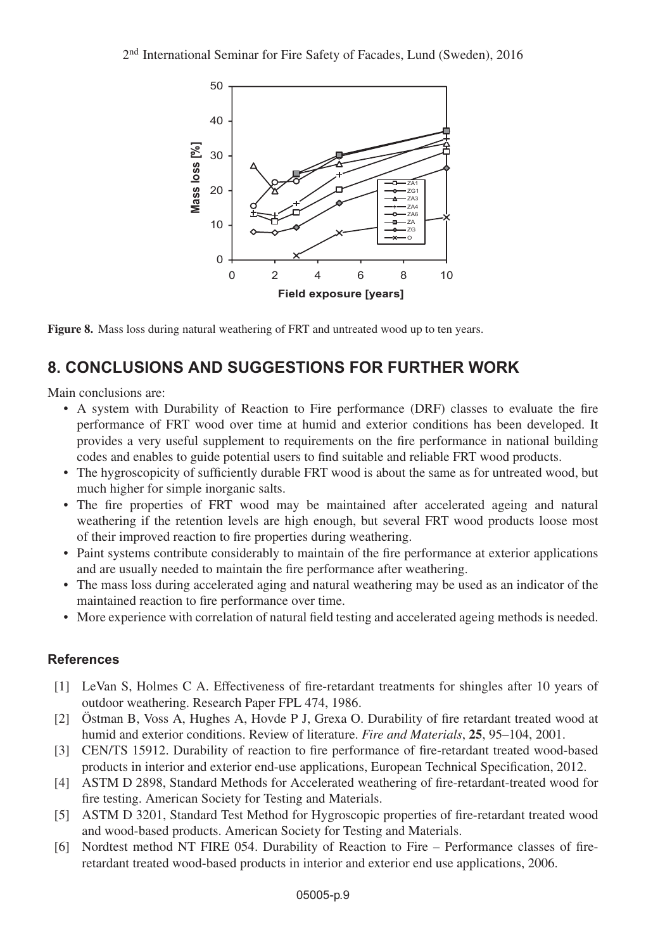<span id="page-8-6"></span>

**Figure 8.** Mass loss during natural weathering of FRT and untreated wood up to ten years.

# **8. CONCLUSIONS AND SUGGESTIONS FOR FURTHER WORK**

Main conclusions are:

- A system with Durability of Reaction to Fire performance (DRF) classes to evaluate the fire performance of FRT wood over time at humid and exterior conditions has been developed. It provides a very useful supplement to requirements on the fire performance in national building codes and enables to guide potential users to find suitable and reliable FRT wood products.
- The hygroscopicity of sufficiently durable FRT wood is about the same as for untreated wood, but much higher for simple inorganic salts.
- The fire properties of FRT wood may be maintained after accelerated ageing and natural weathering if the retention levels are high enough, but several FRT wood products loose most of their improved reaction to fire properties during weathering.
- Paint systems contribute considerably to maintain of the fire performance at exterior applications and are usually needed to maintain the fire performance after weathering.
- The mass loss during accelerated aging and natural weathering may be used as an indicator of the maintained reaction to fire performance over time.
- More experience with correlation of natural field testing and accelerated ageing methods is needed.

### <span id="page-8-0"></span>**References**

- [1] LeVan S, Holmes C A. Effectiveness of fire-retardant treatments for shingles after 10 years of outdoor weathering. Research Paper FPL 474, 1986.
- <span id="page-8-1"></span>[2] Östman B, Voss A, Hughes A, Hovde P J, Grexa O. Durability of fire retardant treated wood at humid and exterior conditions. Review of literature. *Fire and Materials*, **25**, 95–104, 2001.
- <span id="page-8-2"></span>[3] CEN/TS 15912. Durability of reaction to fire performance of fire-retardant treated wood-based products in interior and exterior end-use applications, European Technical Specification, 2012.
- <span id="page-8-3"></span>[4] ASTM D 2898, Standard Methods for Accelerated weathering of fire-retardant-treated wood for fire testing. American Society for Testing and Materials.
- <span id="page-8-4"></span>[5] ASTM D 3201, Standard Test Method for Hygroscopic properties of fire-retardant treated wood and wood-based products. American Society for Testing and Materials.
- <span id="page-8-5"></span>[6] Nordtest method NT FIRE 054. Durability of Reaction to Fire – Performance classes of fireretardant treated wood-based products in interior and exterior end use applications, 2006.